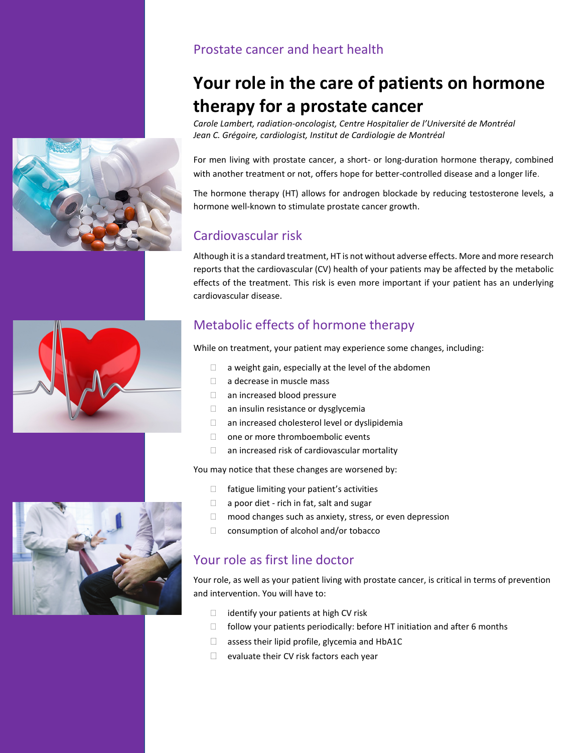#### Prostate cancer and heart health

# **Your role in the care of patients on hormone therapy for a prostate cancer**

*Carole Lambert, radiation-oncologist, Centre Hospitalier de l'Université de Montréal Jean C. Grégoire, cardiologist, Institut de Cardiologie de Montréal*

For men living with prostate cancer, a short- or long-duration hormone therapy, combined with another treatment or not, offers hope for better-controlled disease and a longer life.

The hormone therapy (HT) allows for androgen blockade by reducing testosterone levels, a hormone well-known to stimulate prostate cancer growth.

### Cardiovascular risk

Although it is a standard treatment, HT is not without adverse effects. More and more research reports that the cardiovascular (CV) health of your patients may be affected by the metabolic effects of the treatment. This risk is even more important if your patient has an underlying cardiovascular disease.

# Metabolic effects of hormone therapy

While on treatment, your patient may experience some changes, including:

- $\Box$  a weight gain, especially at the level of the abdomen
- a decrease in muscle mass
- □ an increased blood pressure
- $\Box$  an insulin resistance or dysglycemia
- an increased cholesterol level or dyslipidemia
- □ one or more thromboembolic events
- $\Box$  an increased risk of cardiovascular mortality

You may notice that these changes are worsened by:

- $\Box$  fatigue limiting your patient's activities
- $\Box$  a poor diet rich in fat, salt and sugar
- □ mood changes such as anxiety, stress, or even depression
- $\Box$  consumption of alcohol and/or tobacco

### Your role as first line doctor

Your role, as well as your patient living with prostate cancer, is critical in terms of prevention and intervention. You will have to:

- $\Box$  identify your patients at high CV risk
- $\Box$  follow your patients periodically: before HT initiation and after 6 months
- $\Box$  assess their lipid profile, glycemia and HbA1C
- $\Box$  evaluate their CV risk factors each year